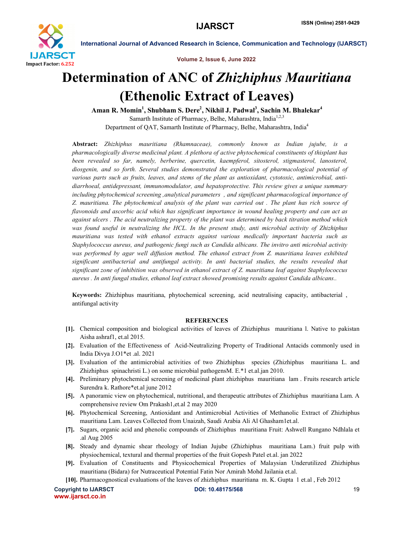

International Journal of Advanced Research in Science, Communication and Technology (IJARSCT)

Volume 2, Issue 6, June 2022

## Determination of ANC of *Zhizhiphus Mauritiana* (Ethenolic Extract of Leaves)

Aman R. Momin<sup>1</sup>, Shubham S. Dere<sup>2</sup>, Nikhil J. Padwal<sup>3</sup>, Sachin M. Bhalekar<sup>4</sup> Samarth Institute of Pharmacy, Belhe, Maharashtra, India<sup>1,2,3</sup> Department of QAT, Samarth Institute of Pharmacy, Belhe, Maharashtra, India<sup>4</sup>

Abstract: *Zhizhiphus mauritiana (Rhamnaceae), commonly known as Indian jujube, is a pharmacologically diverse medicinal plant. A plethora of active phytochemical constituents of thisplant has been revealed so far, namely, berberine, quercetin, kaempferol, sitosterol, stigmasterol, lanosterol, diosgenin, and so forth. Several studies demonstrated the exploration of pharmacological potential of various parts such as fruits, leaves, and stems of the plant as antioxidant, cytotoxic, antimicrobial, antidiarrhoeal, antidepressant, immunomodulator, and hepatoprotective. This review gives a unique summary including phytochemical screening ,analytical parameters , and significant pharmacological importance of Z. mauritiana. The phytochemical analysis of the plant was carried out . The plant has rich source of flavonoids and ascorbic acid which has significant importance in wound healing property and can act as against ulcers . The acid neutralizing property of the plant was determined by back titration method which was found useful in neutralizing the HCL. In the present study, anti microbial activity of Zhizhiphus mauritiana was tested with ethanol extracts against various medically important bacteria such as Staphylococcus aureus, and pathogenic fungi such as Candida albicans. The invitro anti microbial activity was performed by agar well diffusion method. The ethanol extract from Z. mauritiana leaves exhibited significant antibacterial and antifungal activity. In anti bacterial studies, the results revealed that significant zone of inhibition was observed in ethanol extract of Z. mauritiana leaf against Staphylococcus aureus . In anti fungal studies, ethanol leaf extract showed promising results against Candida albicans..*

Keywords: Zhizhiphus mauritiana, phytochemical screening, acid neutralising capacity, antibacterial , antifungal activity

## **REFERENCES**

- [1]. Chemical composition and biological activities of leaves of Zhizhiphus mauritiana l. Native to pakistan Aisha ashraf1, et.al 2015.
- [2]. Evaluation of the Effectiveness of Acid-Neutralizing Property of Traditional Antacids commonly used in India Divya J.O1\*et .al. 2021
- [3]. Evaluation of the antimicrobial activities of two Zhizhiphus species (Zhizhiphus mauritiana L. and Zhizhiphus spinachristi L.) on some microbial pathogensM. E.\*1 et.al.jan 2010.
- [4]. Preliminary phytochemical screening of medicinal plant zhizhiphus mauritiana lam . Fruits research article Surendra k. Rathore\*et.al june 2012
- [5]. A panoramic view on phytochemical, nutritional, and therapeutic attributes of Zhizhiphus mauritiana Lam. A comprehensive review Om Prakash1,et.al 2 may 2020
- [6]. Phytochemical Screening, Antioxidant and Antimicrobial Activities of Methanolic Extract of Zhizhiphus mauritiana Lam. Leaves Collected from Unaizah, Saudi Arabia Ali Al Ghasham1et.al.
- [7]. Sugars, organic acid and phenolic compounds of Zhizhiphus mauritiana Fruit: Ashwell Rungano Ndhlala et .al Aug 2005
- [8]. Steady and dynamic shear rheology of Indian Jujube (Zhizhiphus mauritiana Lam.) fruit pulp with physiochemical, textural and thermal properties of the fruit Gopesh Patel et.al. jan 2022
- [9]. Evaluation of Constituents and Physicochemical Properties of Malaysian Underutilized Zhizhiphus mauritiana (Bidara) for Nutraceutical Potential Fatin Nor Amirah Mohd Jailania et.al.
- [10]. Pharmacognostical evaluations of the leaves of zhizhiphus mauritiana m. K. Gupta 1 et.al , Feb 2012